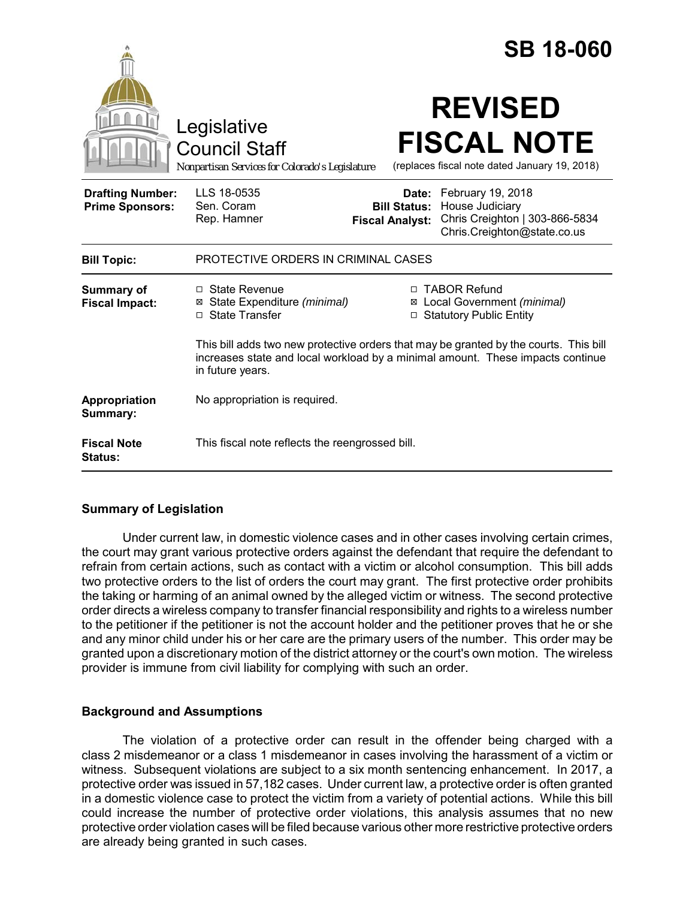|                                                   |                                                                                                                                                                                             |                                               | <b>SB 18-060</b>                                                                                            |
|---------------------------------------------------|---------------------------------------------------------------------------------------------------------------------------------------------------------------------------------------------|-----------------------------------------------|-------------------------------------------------------------------------------------------------------------|
|                                                   | Legislative<br><b>Council Staff</b><br>Nonpartisan Services for Colorado's Legislature                                                                                                      |                                               | <b>REVISED</b><br><b>FISCAL NOTE</b><br>(replaces fiscal note dated January 19, 2018)                       |
| <b>Drafting Number:</b><br><b>Prime Sponsors:</b> | LLS 18-0535<br>Sen. Coram<br>Rep. Hamner                                                                                                                                                    | <b>Bill Status:</b><br><b>Fiscal Analyst:</b> | Date: February 19, 2018<br>House Judiciary<br>Chris Creighton   303-866-5834<br>Chris.Creighton@state.co.us |
| <b>Bill Topic:</b>                                | PROTECTIVE ORDERS IN CRIMINAL CASES                                                                                                                                                         |                                               |                                                                                                             |
| Summary of<br><b>Fiscal Impact:</b>               | $\Box$ State Revenue<br>⊠ State Expenditure (minimal)<br>□ State Transfer                                                                                                                   | Ø<br>$\Box$                                   | □ TABOR Refund<br>Local Government (minimal)<br><b>Statutory Public Entity</b>                              |
|                                                   | This bill adds two new protective orders that may be granted by the courts. This bill<br>increases state and local workload by a minimal amount. These impacts continue<br>in future years. |                                               |                                                                                                             |
| Appropriation<br>Summary:                         | No appropriation is required.                                                                                                                                                               |                                               |                                                                                                             |
| <b>Fiscal Note</b><br><b>Status:</b>              | This fiscal note reflects the reengrossed bill.                                                                                                                                             |                                               |                                                                                                             |

# **Summary of Legislation**

Under current law, in domestic violence cases and in other cases involving certain crimes, the court may grant various protective orders against the defendant that require the defendant to refrain from certain actions, such as contact with a victim or alcohol consumption. This bill adds two protective orders to the list of orders the court may grant. The first protective order prohibits the taking or harming of an animal owned by the alleged victim or witness. The second protective order directs a wireless company to transfer financial responsibility and rights to a wireless number to the petitioner if the petitioner is not the account holder and the petitioner proves that he or she and any minor child under his or her care are the primary users of the number. This order may be granted upon a discretionary motion of the district attorney or the court's own motion. The wireless provider is immune from civil liability for complying with such an order.

## **Background and Assumptions**

The violation of a protective order can result in the offender being charged with a class 2 misdemeanor or a class 1 misdemeanor in cases involving the harassment of a victim or witness. Subsequent violations are subject to a six month sentencing enhancement. In 2017, a protective order was issued in 57,182 cases. Under current law, a protective order is often granted in a domestic violence case to protect the victim from a variety of potential actions. While this bill could increase the number of protective order violations, this analysis assumes that no new protective order violation cases will be filed because various other more restrictive protective orders are already being granted in such cases.